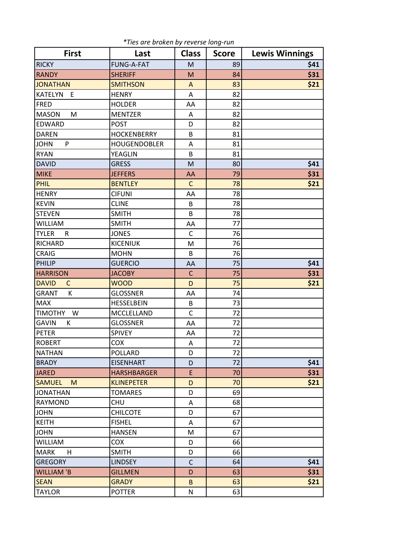| <b>First</b>                 | Last                | <b>Class</b> | <b>Score</b> | <b>Lewis Winnings</b> |
|------------------------------|---------------------|--------------|--------------|-----------------------|
| <b>RICKY</b>                 | <b>FUNG-A-FAT</b>   | M            | 89           | \$41                  |
| <b>RANDY</b>                 | <b>SHERIFF</b>      | M            | 84           | \$31                  |
| <b>JONATHAN</b>              | <b>SMITHSON</b>     | A            | 83           | \$21                  |
| <b>KATELYN</b><br>E          | <b>HENRY</b>        | A            | 82           |                       |
| <b>FRED</b>                  | <b>HOLDER</b>       | AA           | 82           |                       |
| <b>MASON</b><br>M            | <b>MENTZER</b>      | A            | 82           |                       |
| <b>EDWARD</b>                | <b>POST</b>         | D            | 82           |                       |
| <b>DAREN</b>                 | <b>HOCKENBERRY</b>  | B            | 81           |                       |
| <b>JOHN</b><br>P             | <b>HOUGENDOBLER</b> | Α            | 81           |                       |
| <b>RYAN</b>                  | <b>YEAGLIN</b>      | B            | 81           |                       |
| <b>DAVID</b>                 | <b>GRESS</b>        | M            | 80           | \$41                  |
| <b>MIKE</b>                  | <b>JEFFERS</b>      | AA           | 79           | \$31                  |
| <b>PHIL</b>                  | <b>BENTLEY</b>      | $\mathsf{C}$ | 78           | \$21                  |
| <b>HENRY</b>                 | <b>CIFUNI</b>       | AA           | 78           |                       |
| <b>KEVIN</b>                 | <b>CLINE</b>        | B            | 78           |                       |
| <b>STEVEN</b>                | <b>SMITH</b>        | B            | 78           |                       |
| WILLIAM                      | <b>SMITH</b>        | AA           | 77           |                       |
| <b>TYLER</b><br>R            | <b>JONES</b>        | $\mathsf{C}$ | 76           |                       |
| RICHARD                      | <b>KICENIUK</b>     | M            | 76           |                       |
| <b>CRAIG</b>                 | <b>MOHN</b>         | B            | 76           |                       |
| <b>PHILIP</b>                | <b>GUERCIO</b>      | AA           | 75           | \$41                  |
| <b>HARRISON</b>              | <b>JACOBY</b>       | $\mathsf{C}$ | 75           | \$31                  |
| <b>DAVID</b><br>$\mathsf{C}$ | <b>WOOD</b>         | D            | 75           | \$21                  |
| GRANT<br>К                   | <b>GLOSSNER</b>     | AA           | 74           |                       |
| <b>MAX</b>                   | <b>HESSELBEIN</b>   | B            | 73           |                       |
| <b>TIMOTHY</b><br>W          | MCCLELLAND          | C            | 72           |                       |
| <b>GAVIN</b><br>K            | <b>GLOSSNER</b>     | AA           | 72           |                       |
| <b>PETER</b>                 | SPIVEY              | AA           | 72           |                       |
| <b>ROBERT</b>                | <b>COX</b>          | A            | 72           |                       |
| <b>NATHAN</b>                | POLLARD             | D            | 72           |                       |
| <b>BRADY</b>                 | <b>EISENHART</b>    | D            | 72           | \$41                  |
| <b>JARED</b>                 | <b>HARSHBARGER</b>  | E            | 70           | \$31                  |
| <b>SAMUEL</b><br>M           | <b>KLINEPETER</b>   | D            | 70           | \$21                  |
| <b>JONATHAN</b>              | <b>TOMARES</b>      | D            | 69           |                       |
| RAYMOND                      | <b>CHU</b>          | A            | 68           |                       |
| <b>JOHN</b>                  | <b>CHILCOTE</b>     | D            | 67           |                       |
| <b>KEITH</b>                 | <b>FISHEL</b>       | A            | 67           |                       |
| <b>JOHN</b>                  | <b>HANSEN</b>       | M            | 67           |                       |
| <b>WILLIAM</b>               | COX                 | D            | 66           |                       |
| <b>MARK</b><br>H             | <b>SMITH</b>        | D            | 66           |                       |
| <b>GREGORY</b>               | <b>LINDSEY</b>      | $\mathsf C$  | 64           | \$41                  |
| <b>WILLIAM 'B</b>            | <b>GILLMEN</b>      | D            | 63           | \$31                  |
| <b>SEAN</b>                  | <b>GRADY</b>        | B            | 63           | \$21                  |
| <b>TAYLOR</b>                | <b>POTTER</b>       | N            | 63           |                       |

*\*Ties are broken by reverse long-run*